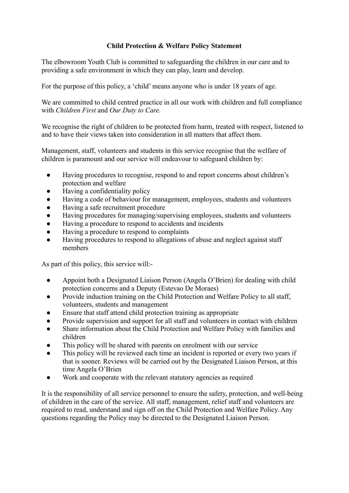#### **Child Protection & Welfare Policy Statement**

The elbowroom Youth Club is committed to safeguarding the children in our care and to providing a safe environment in which they can play, learn and develop.

For the purpose of this policy, a 'child' means anyone who is under 18 years of age.

We are committed to child centred practice in all our work with children and full compliance with *Children First* and *Our Duty to Care.*

We recognise the right of children to be protected from harm, treated with respect, listened to and to have their views taken into consideration in all matters that affect them.

Management, staff, volunteers and students in this service recognise that the welfare of children is paramount and our service will endeavour to safeguard children by:

- Having procedures to recognise, respond to and report concerns about children's protection and welfare
- Having a confidentiality policy
- Having a code of behaviour for management, employees, students and volunteers
- Having a safe recruitment procedure
- Having procedures for managing/supervising employees, students and volunteers
- Having a procedure to respond to accidents and incidents
- Having a procedure to respond to complaints
- Having procedures to respond to allegations of abuse and neglect against staff members

As part of this policy, this service will:-

- Appoint both a Designated Liaison Person (Angela O'Brien) for dealing with child protection concerns and a Deputy (Estevao De Moraes)
- Provide induction training on the Child Protection and Welfare Policy to all staff, volunteers, students and management
- Ensure that staff attend child protection training as appropriate
- Provide supervision and support for all staff and volunteers in contact with children
- Share information about the Child Protection and Welfare Policy with families and children
- This policy will be shared with parents on enrolment with our service
- This policy will be reviewed each time an incident is reported or every two vears if that is sooner. Reviews will be carried out by the Designated Liaison Person, at this time Angela O'Brien
- Work and cooperate with the relevant statutory agencies as required

It is the responsibility of all service personnel to ensure the safety, protection, and well-being of children in the care of the service. All staff, management, relief staff and volunteers are required to read, understand and sign off on the Child Protection and Welfare Policy. Any questions regarding the Policy may be directed to the Designated Liaison Person.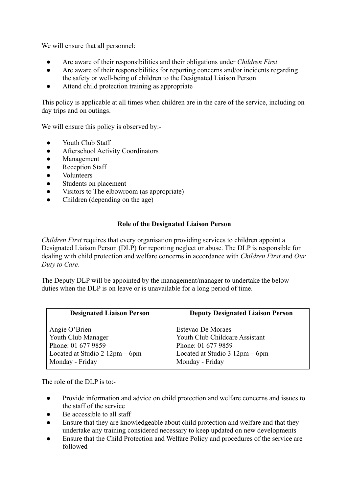We will ensure that all personnel:

- Are aware of their responsibilities and their obligations under *Children First*
- Are aware of their responsibilities for reporting concerns and/or incidents regarding the safety or well-being of children to the Designated Liaison Person
- Attend child protection training as appropriate

This policy is applicable at all times when children are in the care of the service, including on day trips and on outings.

We will ensure this policy is observed by:-

- Youth Club Staff
- Afterschool Activity Coordinators
- Management
- **Reception Staff**
- **Volunteers**
- Students on placement
- Visitors to The elbowroom (as appropriate)
- Children (depending on the age)

#### **Role of the Designated Liaison Person**

*Children First* requires that every organisation providing services to children appoint a Designated Liaison Person (DLP) for reporting neglect or abuse. The DLP is responsible for dealing with child protection and welfare concerns in accordance with *Children First* and *Our Duty to Care*.

The Deputy DLP will be appointed by the management/manager to undertake the below duties when the DLP is on leave or is unavailable for a long period of time.

| <b>Designated Liaison Person</b> | <b>Deputy Designated Liaison Person</b> |
|----------------------------------|-----------------------------------------|
| Angie O'Brien                    | Estevao De Moraes                       |
| Youth Club Manager               | Youth Club Childcare Assistant          |
| Phone: 01 677 9859               | Phone: 01 677 9859                      |
| Located at Studio $2 12pm - 6pm$ | Located at Studio $3 12pm - 6pm$        |
| Monday - Friday                  | Monday - Friday                         |

The role of the DLP is to:-

- Provide information and advice on child protection and welfare concerns and issues to the staff of the service
- Be accessible to all staff
- Ensure that they are knowledgeable about child protection and welfare and that they undertake any training considered necessary to keep updated on new developments
- Ensure that the Child Protection and Welfare Policy and procedures of the service are followed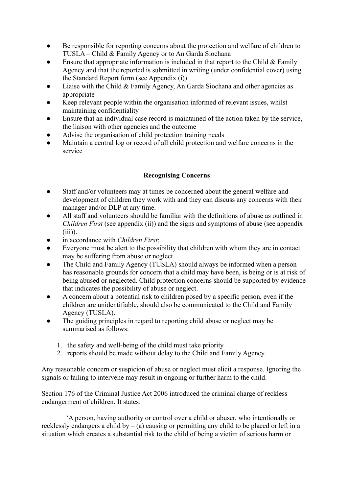- Be responsible for reporting concerns about the protection and welfare of children to TUSLA – Child & Family Agency or to An Garda Siochana
- Ensure that appropriate information is included in that report to the Child  $& Family$ Agency and that the reported is submitted in writing (under confidential cover) using the Standard Report form (see Appendix (i))
- Liaise with the Child & Family Agency, An Garda Siochana and other agencies as appropriate
- Keep relevant people within the organisation informed of relevant issues, whilst maintaining confidentiality
- Ensure that an individual case record is maintained of the action taken by the service, the liaison with other agencies and the outcome
- Advise the organisation of child protection training needs
- Maintain a central log or record of all child protection and welfare concerns in the service

## **Recognising Concerns**

- Staff and/or volunteers may at times be concerned about the general welfare and development of children they work with and they can discuss any concerns with their manager and/or DLP at any time.
- All staff and volunteers should be familiar with the definitions of abuse as outlined in *Children First* (see appendix (ii)) and the signs and symptoms of abuse (see appendix  $(iii)$
- in accordance with *Children First*:
- Everyone must be alert to the possibility that children with whom they are in contact may be suffering from abuse or neglect.
- The Child and Family Agency (TUSLA) should always be informed when a person has reasonable grounds for concern that a child may have been, is being or is at risk of being abused or neglected. Child protection concerns should be supported by evidence that indicates the possibility of abuse or neglect.
- A concern about a potential risk to children posed by a specific person, even if the children are unidentifiable, should also be communicated to the Child and Family Agency (TUSLA).
- The guiding principles in regard to reporting child abuse or neglect may be summarised as follows:
	- 1. the safety and well-being of the child must take priority
	- 2. reports should be made without delay to the Child and Family Agency.

Any reasonable concern or suspicion of abuse or neglect must elicit a response. Ignoring the signals or failing to intervene may result in ongoing or further harm to the child.

Section 176 of the Criminal Justice Act 2006 introduced the criminal charge of reckless endangerment of children. It states:

'A person, having authority or control over a child or abuser, who intentionally or recklessly endangers a child by  $-$  (a) causing or permitting any child to be placed or left in a situation which creates a substantial risk to the child of being a victim of serious harm or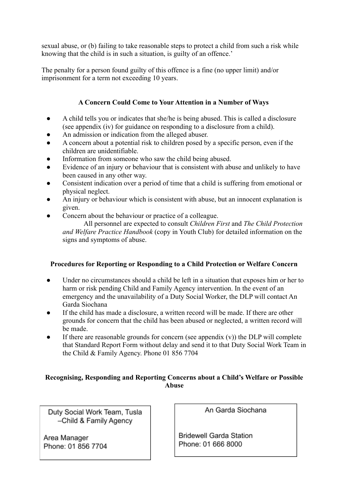sexual abuse, or (b) failing to take reasonable steps to protect a child from such a risk while knowing that the child is in such a situation, is guilty of an offence.'

The penalty for a person found guilty of this offence is a fine (no upper limit) and/or imprisonment for a term not exceeding 10 years.

# **A Concern Could Come to Your Attention in a Number of Ways**

- A child tells you or indicates that she/he is being abused. This is called a disclosure (see appendix (iv) for guidance on responding to a disclosure from a child).
- An admission or indication from the alleged abuser.
- A concern about a potential risk to children posed by a specific person, even if the children are unidentifiable.
- Information from someone who saw the child being abused.
- Evidence of an injury or behaviour that is consistent with abuse and unlikely to have been caused in any other way.
- Consistent indication over a period of time that a child is suffering from emotional or physical neglect.
- An injury or behaviour which is consistent with abuse, but an innocent explanation is given.
- Concern about the behaviour or practice of a colleague.

All personnel are expected to consult *Children First* and *The Child Protection and Welfare Practice Handbook* (copy in Youth Club) for detailed information on the signs and symptoms of abuse.

## **Procedures for Reporting or Responding to a Child Protection or Welfare Concern**

- Under no circumstances should a child be left in a situation that exposes him or her to harm or risk pending Child and Family Agency intervention. In the event of an emergency and the unavailability of a Duty Social Worker, the DLP will contact An Garda Siochana
- If the child has made a disclosure, a written record will be made. If there are other grounds for concern that the child has been abused or neglected, a written record will be made.
- If there are reasonable grounds for concern (see appendix  $(v)$ ) the DLP will complete that Standard Report Form without delay and send it to that Duty Social Work Team in the Child & Family Agency. Phone 01 856 7704

## **Recognising, Responding and Reporting Concerns about a Child's Welfare or Possible Abuse**

Duty Social Work Team, Tusla -Child & Family Agency

Area Manager Phone: 01 856 7704 An Garda Siochana

**Bridewell Garda Station** Phone: 01 666 8000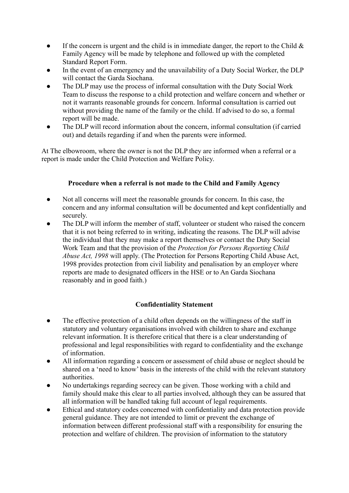- If the concern is urgent and the child is in immediate danger, the report to the Child  $\&$ Family Agency will be made by telephone and followed up with the completed Standard Report Form.
- In the event of an emergency and the unavailability of a Duty Social Worker, the DLP will contact the Garda Siochana.
- The DLP may use the process of informal consultation with the Duty Social Work Team to discuss the response to a child protection and welfare concern and whether or not it warrants reasonable grounds for concern. Informal consultation is carried out without providing the name of the family or the child. If advised to do so, a formal report will be made.
- The DLP will record information about the concern, informal consultation (if carried out) and details regarding if and when the parents were informed.

At The elbowroom, where the owner is not the DLP they are informed when a referral or a report is made under the Child Protection and Welfare Policy.

## **Procedure when a referral is not made to the Child and Family Agency**

- Not all concerns will meet the reasonable grounds for concern. In this case, the concern and any informal consultation will be documented and kept confidentially and securely.
- The DLP will inform the member of staff, volunteer or student who raised the concern that it is not being referred to in writing, indicating the reasons. The DLP will advise the individual that they may make a report themselves or contact the Duty Social Work Team and that the provision of the *Protection for Persons Reporting Child Abuse Act, 1998* will apply. (The Protection for Persons Reporting Child Abuse Act, 1998 provides protection from civil liability and penalisation by an employer where reports are made to designated officers in the HSE or to An Garda Siochana reasonably and in good faith.)

## **Confidentiality Statement**

- The effective protection of a child often depends on the willingness of the staff in statutory and voluntary organisations involved with children to share and exchange relevant information. It is therefore critical that there is a clear understanding of professional and legal responsibilities with regard to confidentiality and the exchange of information.
- All information regarding a concern or assessment of child abuse or neglect should be shared on a 'need to know' basis in the interests of the child with the relevant statutory authorities.
- No undertakings regarding secrecy can be given. Those working with a child and family should make this clear to all parties involved, although they can be assured that all information will be handled taking full account of legal requirements.
- Ethical and statutory codes concerned with confidentiality and data protection provide general guidance. They are not intended to limit or prevent the exchange of information between different professional staff with a responsibility for ensuring the protection and welfare of children. The provision of information to the statutory